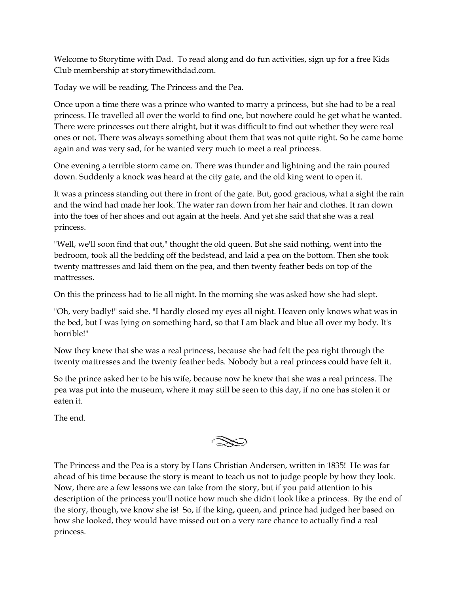Welcome to Storytime with Dad. To read along and do fun activities, sign up for a free Kids Club membership at storytimewithdad.com.

Today we will be reading, The Princess and the Pea.

Once upon a time there was a prince who wanted to marry a princess, but she had to be a real princess. He travelled all over the world to find one, but nowhere could he get what he wanted. There were princesses out there alright, but it was difficult to find out whether they were real ones or not. There was always something about them that was not quite right. So he came home again and was very sad, for he wanted very much to meet a real princess.

One evening a terrible storm came on. There was thunder and lightning and the rain poured down. Suddenly a knock was heard at the city gate, and the old king went to open it.

It was a princess standing out there in front of the gate. But, good gracious, what a sight the rain and the wind had made her look. The water ran down from her hair and clothes. It ran down into the toes of her shoes and out again at the heels. And yet she said that she was a real princess.

"Well, we'll soon find that out," thought the old queen. But she said nothing, went into the bedroom, took all the bedding off the bedstead, and laid a pea on the bottom. Then she took twenty mattresses and laid them on the pea, and then twenty feather beds on top of the mattresses.

On this the princess had to lie all night. In the morning she was asked how she had slept.

"Oh, very badly!" said she. "I hardly closed my eyes all night. Heaven only knows what was in the bed, but I was lying on something hard, so that I am black and blue all over my body. It's horrible!"

Now they knew that she was a real princess, because she had felt the pea right through the twenty mattresses and the twenty feather beds. Nobody but a real princess could have felt it.

So the prince asked her to be his wife, because now he knew that she was a real princess. The pea was put into the museum, where it may still be seen to this day, if no one has stolen it or eaten it.

The end.

The Princess and the Pea is a story by Hans Christian Andersen, written in 1835! He was far ahead of his time because the story is meant to teach us not to judge people by how they look. Now, there are a few lessons we can take from the story, but if you paid attention to his description of the princess you'll notice how much she didn't look like a princess. By the end of the story, though, we know she is! So, if the king, queen, and prince had judged her based on how she looked, they would have missed out on a very rare chance to actually find a real princess.